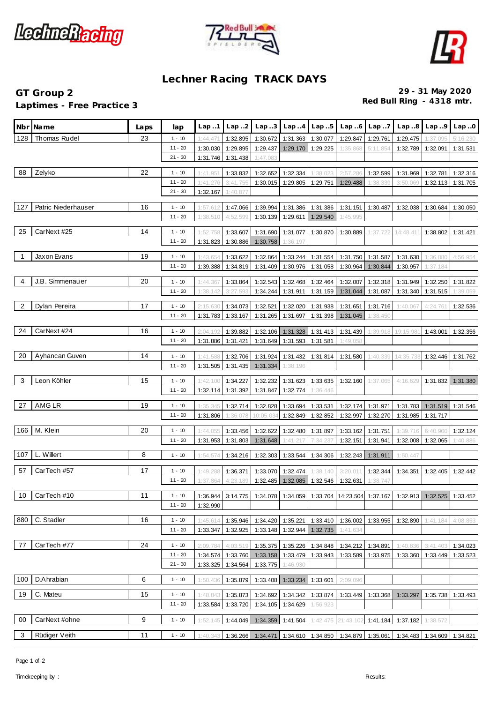





## **Lechner Racing TRACK DAYS**

## **Laptimes - Free Practice 3**

**GT Group 2 29 - 31 May 2020**

|     | Nbr Name            | Laps | lap       | Lap.1                | Lap.2                | Lap. .3              | Lap.4                         | Lap.5             | Lap.6                | Lap.7                | Lap.8                                                                                      | Lap.9    | Lap.0                |
|-----|---------------------|------|-----------|----------------------|----------------------|----------------------|-------------------------------|-------------------|----------------------|----------------------|--------------------------------------------------------------------------------------------|----------|----------------------|
| 128 | Thomas Rudel        | 23   | $1 - 10$  | 1:44.471             | 1:32.895             | 1:30.672             | 1:31.363                      | 1:30.077          | 1:29.847             | 1:29.761             | 1:29.475                                                                                   | 1:37.095 | 5:16.230             |
|     |                     |      | $11 - 20$ | 1:30.030             | 1:29.895             | 1:29.437             | 1:29.170                      | 1:29.225          | 1:35.868             | 5:11.854             | 1:32.789                                                                                   | 1:32.091 | 1:31.531             |
|     |                     |      | $21 - 30$ | 1:31.746             | 1:31.438             | 1:47.083             |                               |                   |                      |                      |                                                                                            |          |                      |
| 88  | Zelyko              | 22   | $1 - 10$  | 1:41.951             | 1:33.832             | 1:32.652             | 1:32.334                      | 1:38.023          | 2:57.286             | 1:32.599             | 1:31.969                                                                                   | 1:32.781 | 1:32.316             |
|     |                     |      | $11 - 20$ | 1:41.276             | 3:41.755             | 1:30.015             | 1:29.805                      | 1:29.751          | 1:29.488             | 1:38.339             | 3:50.069                                                                                   | 1:32.113 | 1:31.705             |
|     |                     |      | $21 - 30$ | 1:32.167             | 1:40.877             |                      |                               |                   |                      |                      |                                                                                            |          |                      |
| 127 | Patric Niederhauser | 16   | $1 - 10$  | 1:57.612             | 1:47.066             | 1:39.994             | 1:31.386                      | 1:31.386          | 1:31.151             | 1:30.487             | 1:32.038                                                                                   | 1:30.684 | 1:30.050             |
|     |                     |      | $11 - 20$ | 1:38.510             | 4:52.599             | 1:30.139             | 1:29.611                      | 1:29.540          | 1:45.995             |                      |                                                                                            |          |                      |
| 25  | CarNext #25         | 14   | $1 - 10$  | 1:52.758             | 1:33.607             | 1:31.690             | 1:31.077                      | 1:30.870          | 1:30.889             | 1:37.722             | 14:48.411                                                                                  | 1:38.802 | 1:31.421             |
|     |                     |      | $11 - 20$ | 1:31.823             | 1:30.886             | 1:30.758             | 1:36.197                      |                   |                      |                      |                                                                                            |          |                      |
| 1   | Jaxon Evans         | 19   | $1 - 10$  | 1:43.654             | 1:33.622             | 1:32.864             | 1:33.244                      | 1:31.554          | 1:31.750             |                      | 1:31.630                                                                                   | 1:36.880 | 4:56.954             |
|     |                     |      | $11 - 20$ | 1:39.388             | 1:34.819             | 1:31.409             | 1:30.976                      | 1:31.058          | 1:30.964             | 1:31.587<br>1:30.844 | 1:30.957                                                                                   | 1:37.184 |                      |
|     |                     |      |           |                      |                      |                      |                               |                   |                      |                      |                                                                                            |          |                      |
| 4   | J.B. Simmenauer     | 20   | $1 - 10$  | 1:44.367             | 1:33.864             | 1:32.543             | 1:32.468                      | 1:32.464          | 1:32.007             | 1:32.318             | 1:31.949                                                                                   | 1:32.250 | 1:31.822             |
|     |                     |      | $11 - 20$ | 1:38.142             | 3:27.593             | 1:34.244             | 1:31.911                      | 1:31.159          | 1:31.044             | 1:31.087             | 1:31.340                                                                                   | 1:31.515 | 1:39.059             |
| 2   | Dylan Pereira       | 17   | $1 - 10$  | 2:15.630             | 1:34.073             | 1:32.521             | 1:32.020                      | 1:31.938          | 1:31.651             | 1:31.716             | 1:40.067                                                                                   | 4:24.76' | 1:32.536             |
|     |                     |      | $11 - 20$ | 1:31.783             | 1:33.167             | 1:31.265             | 1:31.697                      | 1:31.398          | 1:31.045             | 1:38.450             |                                                                                            |          |                      |
| 24  | CarNext #24         | 16   | $1 - 10$  | 2:04.192             | 1:39.882             |                      | 1:32.106 1:31.328             | 1:31.413          | 1:31.439             | 1:39.918             | 19:15.98                                                                                   | 1:43.001 | 1:32.356             |
|     |                     |      | $11 - 20$ | 1:31.886             | 1:31.421             | 1:31.649             | 1:31.593                      | 1:31.581          | 1:49.058             |                      |                                                                                            |          |                      |
| 20  | Ayhancan Guven      | 14   | $1 - 10$  |                      |                      |                      |                               | 1:31.814          |                      |                      |                                                                                            | 1:32.446 |                      |
|     |                     |      | $11 - 20$ | 1:41.588<br>1:31.505 | 1:32.706<br>1:31.435 | 1:31.924<br>1:31.334 | 1:31.432<br>1:38.196          |                   | 1:31.580             | 1:40.339             | 14:35.733                                                                                  |          | 1:31.762             |
|     |                     |      |           |                      |                      |                      |                               |                   |                      |                      |                                                                                            |          |                      |
| 3   | Leon Köhler         | 15   | $1 - 10$  | 1:42.100             | 1:34.227             | 1:32.232             | 1:31.623                      | 1:33.635          | 1:32.160             | 1:37.065             | 4:16.629                                                                                   | 1:31.832 | 1:31.380             |
|     |                     |      | $11 - 20$ | 1:32.114             | 1:31.392             | 1:31.847             | 1:32.774                      | 1:36.446          |                      |                      |                                                                                            |          |                      |
| 27  | AMG LR              | 19   | $1 - 10$  | 1:35.345             | 1:32.714             | 1:32.828             | 1:33.694                      | 1:33.531          | 1:32.174             | 1:31.971             | 1:31.783                                                                                   | 1:31.519 | 1:31.546             |
|     |                     |      | $11 - 20$ | 1:31.806             | 1:36.078             | 10:05.03             | 1:32.849                      | 1:32.852          | 1:32.997             | 1:32.270             | 1:31.985                                                                                   | 1:31.717 |                      |
| 166 | M. Klein            | 20   | $1 - 10$  | 1:44.05              | 1:33.456             | 1:32.622             | 1:32.480                      | 1:31.897          | 1:33.162             | 1:31.751             | 1:39.716                                                                                   | 6:40.900 | 1:32.124             |
|     |                     |      | $11 - 20$ | 1:31.953             | 1:31.803             | 1:31.648             | 1:41.217                      | 7:34.237          | 1:32.151             | 1:31.941             | 1:32.008                                                                                   | 1:32.065 | 1:40.886             |
|     | 107 $L.$ Willert    | 8    | $1 - 10$  | 1:54.574             | 1:34.216             | 1:32.303             | 1:33.544                      | 1:34.306          | 1:32.243             | 1:31.911             | 1:50.447                                                                                   |          |                      |
|     |                     |      |           |                      |                      |                      |                               |                   |                      |                      |                                                                                            |          |                      |
| 57  | CarTech #57         | 17   | $1 - 10$  | 1:49.288             | 1:36.371             | 1:33.070             | 1:32.474                      | 1:38.140          | 3:20.011             | 1:32.344             | 1:34.351                                                                                   | 1:32.405 | 1:32.442             |
|     |                     |      | $11 - 20$ | 1:37.864             | 4:23.189             | 1:32.485             | 1:32.085                      | 1:32.546          | 1:32.631             | 1:38.747             |                                                                                            |          |                      |
| 10  | CarTech #10         | 11   | $1 - 10$  |                      |                      |                      |                               |                   |                      |                      | 1:36.944 3:14.775 1:34.078 1:34.059 1:33.704 14:23.504 1:37.167 1:32.913 1:32.525 1:33.452 |          |                      |
|     |                     |      | $11 - 20$ | 1:32.990             |                      |                      |                               |                   |                      |                      |                                                                                            |          |                      |
|     | 880 C. Stadler      | 16   | $1 - 10$  | 1:45.614             | 1:35.946             | 1:34.420             | 1:35.221                      | 1:33.410          | 1:36.002             | 1:33.955             | 1:32.890                                                                                   | 1:41.184 | 4:08.853             |
|     |                     |      | $11 - 20$ | 1:33.347             | 1:32.925             | 1:33.148             | 1:32.944                      | 1:32.735          | 1:41.634             |                      |                                                                                            |          |                      |
| 77  | CarTech #77         | 24   | $1 - 10$  | 2:09.784             | 4:03.519             |                      |                               | 1:34.848          |                      |                      | 1:40.836                                                                                   | 3:41.403 |                      |
|     |                     |      | $11 - 20$ | 1:34.574             | 1:33.760             | 1:35.375             | 1:35.226<br>1:33.158 1:33.479 | 1:33.943          | 1:34.212<br>1:33.589 | 1:34.891<br>1:33.975 | 1:33.360                                                                                   | 1:33.449 | 1:34.023<br>1:33.523 |
|     |                     |      | $21 - 30$ | 1:33.325             | 1:34.564             | 1:33.775             | 1:46.930                      |                   |                      |                      |                                                                                            |          |                      |
|     |                     |      |           |                      |                      |                      |                               |                   |                      |                      |                                                                                            |          |                      |
|     | 100 D.Ahrabian      | 6    | $1 - 10$  | 1:50.436             | 1:35.879             |                      | 1:33.408 1:33.234             | 1:33.601          | 2:09.096             |                      |                                                                                            |          |                      |
| 19  | C. Mateu            | 15   | $1 - 10$  | 1:48.843             | 1:35.873             | 1:34.692             | 1:34.342                      | 1:33.874          | 1:33.449             | 1:33.368             | 1:33.297                                                                                   | 1:35.738 | 1:33.493             |
|     |                     |      | $11 - 20$ | 1:33.584             | 1:33.720             | 1:34.105             | 1:34.629                      | 1:56.923          |                      |                      |                                                                                            |          |                      |
| 00  | CarNext #ohne       | 9    | $1 - 10$  | 1:52.145             | 1:44.049             | 1:34.359             | 1:41.504                      | 1:42.475          | 21:43.102            |                      | 1:41.184 1:37.182                                                                          | 1:38.572 |                      |
|     |                     |      |           |                      |                      |                      |                               |                   |                      |                      |                                                                                            |          |                      |
| 3   | Rüdiger Veith       | 11   | $1 - 10$  | 1:40.343             | 1:36.266             | 1:34.471             |                               | 1:34.610 1:34.850 |                      | 1:34.879 1:35.061    | 1:34.483                                                                                   | 1:34.609 | 1:34.821             |